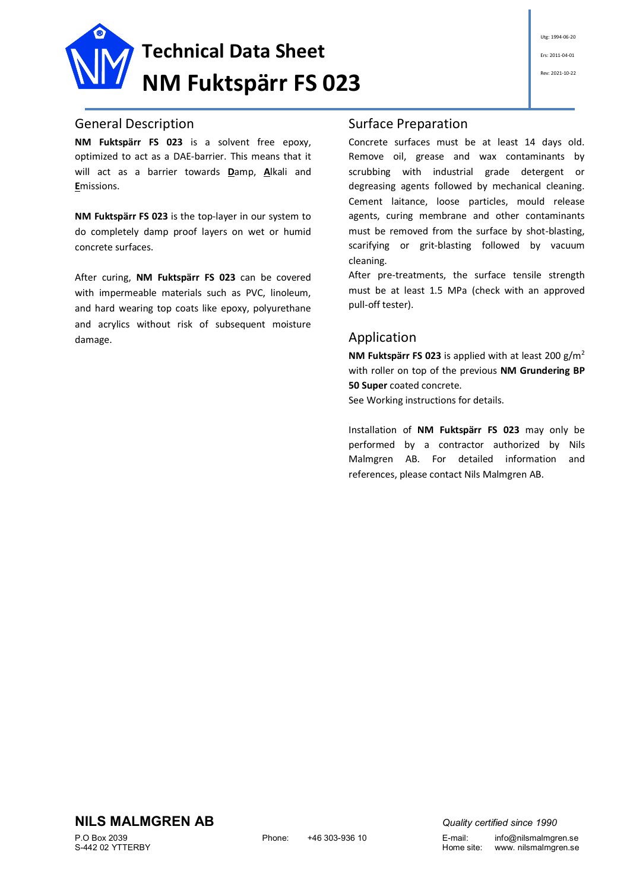

#### General Description

**NM Fuktspärr FS 023** is a solvent free epoxy, optimized to act as a DAE-barrier. This means that it will act as a barrier towards **D**amp, **A**lkali and **E**missions.

**NM Fuktspärr FS 023** is the top-layer in our system to do completely damp proof layers on wet or humid concrete surfaces.

After curing, **NM Fuktspärr FS 023** can be covered with impermeable materials such as PVC, linoleum, and hard wearing top coats like epoxy, polyurethane and acrylics without risk of subsequent moisture damage.

### Surface Preparation

Concrete surfaces must be at least 14 days old. Remove oil, grease and wax contaminants by scrubbing with industrial grade detergent or degreasing agents followed by mechanical cleaning. Cement laitance, loose particles, mould release agents, curing membrane and other contaminants must be removed from the surface by shot-blasting, scarifying or grit-blasting followed by vacuum cleaning.

After pre-treatments, the surface tensile strength must be at least 1.5 MPa (check with an approved pull-off tester).

#### Application

**NM Fuktspärr FS 023** is applied with at least 200 g/m<sup>2</sup> with roller on top of the previous **NM Grundering BP 50 Super** coated concrete.

See Working instructions for details.

Installation of **NM Fuktspärr FS 023** may only be performed by a contractor authorized by Nils Malmgren AB. For detailed information and references, please contact Nils Malmgren AB.